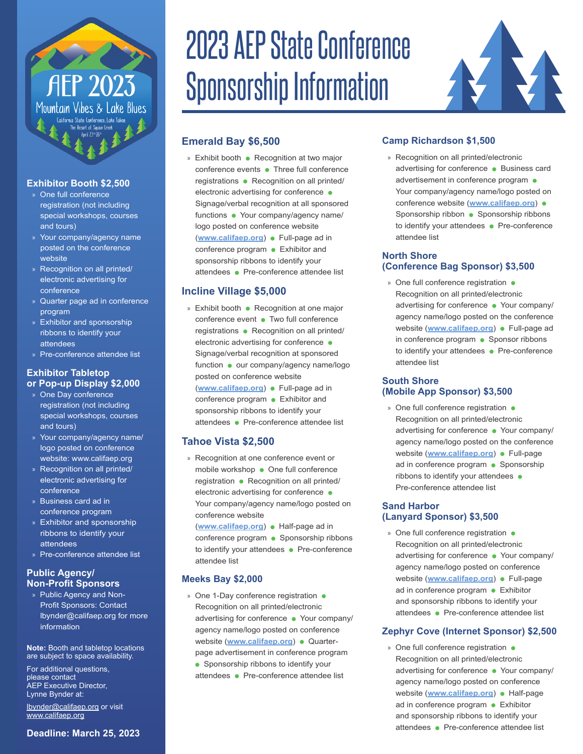# **AEP 2023** Mountain Vibes & Lake Blues

## **Exhibitor Booth \$2,500**

- » One full conference registration (not including special workshops, courses and tours)
- » Your company/agency name posted on the conference website
- » Recognition on all printed/ electronic advertising for conference
- » Quarter page ad in conference program
- » Exhibitor and sponsorship ribbons to identify your attendees
- » Pre-conference attendee list

#### **Exhibitor Tabletop or Pop-up Display \$2,000**

- » One Day conference registration (not including special workshops, courses and tours)
- » Your company/agency name/ logo posted on conference website: [www.califaep.org](http://www.califaep.org/)
- » Recognition on all printed/ electronic advertising for conference
- » Business card ad in conference program
- » Exhibitor and sponsorship ribbons to identify your attendees
- » Pre-conference attendee list

#### **Public Agency/ Non-Profit Sponsors**

» Public Agency and Non-Profit Sponsors: Contact lbynder@califaep.org for more information

**Note:** Booth and tabletop locations are subject to space availability.

For additional questions, please contact AEP Executive Director, Lynne Bynder at:

[lbynder@califaep.org](mailto:lbynder@califaep.org) or visit [www.califaep.org](http://www.califaep.org/)

#### **Deadline: March 25, 2023**

# 2023 AEP State Conference Sponsorship Information



# **Emerald Bay \$6,500**

» Exhibit booth • Recognition at two major conference events • Three full conference registrations • Recognition on all printed/ electronic advertising for conference  $\bullet$ Signage/verbal recognition at all sponsored functions • Your company/agency name/ logo posted on conference website ([www.califaep.org](https://nam11.safelinks.protection.outlook.com/?url=http%3A%2F%2Fwww.califaep.org%2F&data=04%7C01%7Candrea.shephard%40ascentenvironmental.com%7C7c20ceab2281479c556208da0b6a54cb%7C3e93c60a23514d15b2aa0753fd321028%7C0%7C0%7C637834848608004457%7CUnknown%7CTWFpbGZsb3d8eyJWIjoiMC4wLjAwMDAiLCJQIjoiV2luMzIiLCJBTiI6Ik1haWwiLCJXVCI6Mn0%3D%7C3000&sdata=IlXu8e98VhbdjfH3Sc9%2BxqybsyoKL6QKKu6ukXq1Bek%3D&reserved=0)) • Full-page ad in conference program • Exhibitor and sponsorship ribbons to identify your

attendees • Pre-conference attendee list

## **Incline Village \$5,000**

» Exhibit booth • Recognition at one major conference event • Two full conference registrations • Recognition on all printed/ electronic advertising for conference  $\bullet$ Signage/verbal recognition at sponsored function • our company/agency name/logo posted on conference website ([www.califaep.org](https://nam11.safelinks.protection.outlook.com/?url=http%3A%2F%2Fwww.califaep.org%2F&data=04%7C01%7Candrea.shephard%40ascentenvironmental.com%7C7c20ceab2281479c556208da0b6a54cb%7C3e93c60a23514d15b2aa0753fd321028%7C0%7C0%7C637834848608004457%7CUnknown%7CTWFpbGZsb3d8eyJWIjoiMC4wLjAwMDAiLCJQIjoiV2luMzIiLCJBTiI6Ik1haWwiLCJXVCI6Mn0%3D%7C3000&sdata=IlXu8e98VhbdjfH3Sc9%2BxqybsyoKL6QKKu6ukXq1Bek%3D&reserved=0)) • Full-page ad in conference program • Exhibitor and sponsorship ribbons to identify your attendees • Pre-conference attendee list

#### **Tahoe Vista \$2,500**

» Recognition at one conference event or mobile workshop • One full conference registration • Recognition on all printed/ electronic advertising for conference  $\bullet$ Your company/agency name/logo posted on conference website

([www.califaep.org](https://nam11.safelinks.protection.outlook.com/?url=http%3A%2F%2Fwww.califaep.org%2F&data=04%7C01%7Candrea.shephard%40ascentenvironmental.com%7C7c20ceab2281479c556208da0b6a54cb%7C3e93c60a23514d15b2aa0753fd321028%7C0%7C0%7C637834848608004457%7CUnknown%7CTWFpbGZsb3d8eyJWIjoiMC4wLjAwMDAiLCJQIjoiV2luMzIiLCJBTiI6Ik1haWwiLCJXVCI6Mn0%3D%7C3000&sdata=IlXu8e98VhbdjfH3Sc9%2BxqybsyoKL6QKKu6ukXq1Bek%3D&reserved=0)) • Half-page ad in conference program • Sponsorship ribbons to identify your attendees • Pre-conference attendee list

# **Meeks Bay \$2,000**

» One 1-Day conference registration  $\bullet$ Recognition on all printed/electronic advertising for conference • Your company/ agency name/logo posted on conference website ([www.califaep.org](https://nam11.safelinks.protection.outlook.com/?url=http%3A%2F%2Fwww.califaep.org%2F&data=04%7C01%7Candrea.shephard%40ascentenvironmental.com%7C7c20ceab2281479c556208da0b6a54cb%7C3e93c60a23514d15b2aa0753fd321028%7C0%7C0%7C637834848608004457%7CUnknown%7CTWFpbGZsb3d8eyJWIjoiMC4wLjAwMDAiLCJQIjoiV2luMzIiLCJBTiI6Ik1haWwiLCJXVCI6Mn0%3D%7C3000&sdata=IlXu8e98VhbdjfH3Sc9%2BxqybsyoKL6QKKu6ukXq1Bek%3D&reserved=0)) • Quarterpage advertisement in conference program • Sponsorship ribbons to identify your attendees • Pre-conference attendee list

# **Camp Richardson \$1,500**

» Recognition on all printed/electronic advertising for conference • Business card advertisement in conference program  $\bullet$ Your company/agency name/logo posted on conference website (**[www.califaep.org](https://nam11.safelinks.protection.outlook.com/?url=http%3A%2F%2Fwww.califaep.org%2F&data=04%7C01%7Candrea.shephard%40ascentenvironmental.com%7C7c20ceab2281479c556208da0b6a54cb%7C3e93c60a23514d15b2aa0753fd321028%7C0%7C0%7C637834848608004457%7CUnknown%7CTWFpbGZsb3d8eyJWIjoiMC4wLjAwMDAiLCJQIjoiV2luMzIiLCJBTiI6Ik1haWwiLCJXVCI6Mn0%3D%7C3000&sdata=IlXu8e98VhbdjfH3Sc9%2BxqybsyoKL6QKKu6ukXq1Bek%3D&reserved=0)**) Sponsorship ribbon • Sponsorship ribbons to identify your attendees • Pre-conference attendee list

#### **North Shore (Conference Bag Sponsor) \$3,500**

» One full conference registration  $\bullet$ Recognition on all printed/electronic advertising for conference • Your company/ agency name/logo posted on the conference website (**[www.califaep.org](https://nam11.safelinks.protection.outlook.com/?url=http%3A%2F%2Fwww.califaep.org%2F&data=04%7C01%7Candrea.shephard%40ascentenvironmental.com%7C7c20ceab2281479c556208da0b6a54cb%7C3e93c60a23514d15b2aa0753fd321028%7C0%7C0%7C637834848608004457%7CUnknown%7CTWFpbGZsb3d8eyJWIjoiMC4wLjAwMDAiLCJQIjoiV2luMzIiLCJBTiI6Ik1haWwiLCJXVCI6Mn0%3D%7C3000&sdata=IlXu8e98VhbdjfH3Sc9%2BxqybsyoKL6QKKu6ukXq1Bek%3D&reserved=0)**) • Full-page ad in conference program  $\bullet$  Sponsor ribbons to identify your attendees • Pre-conference attendee list

#### **South Shore (Mobile App Sponsor) \$3,500**

» One full conference registration • Recognition on all printed/electronic advertising for conference • Your company/ agency name/logo posted on the conference website ([www.califaep.org](https://nam11.safelinks.protection.outlook.com/?url=http%3A%2F%2Fwww.califaep.org%2F&data=04%7C01%7Candrea.shephard%40ascentenvironmental.com%7C7c20ceab2281479c556208da0b6a54cb%7C3e93c60a23514d15b2aa0753fd321028%7C0%7C0%7C637834848608004457%7CUnknown%7CTWFpbGZsb3d8eyJWIjoiMC4wLjAwMDAiLCJQIjoiV2luMzIiLCJBTiI6Ik1haWwiLCJXVCI6Mn0%3D%7C3000&sdata=IlXu8e98VhbdjfH3Sc9%2BxqybsyoKL6QKKu6ukXq1Bek%3D&reserved=0)) • Full-page ad in conference program • Sponsorship ribbons to identify your attendees Pre-conference attendee list

#### **Sand Harbor (Lanyard Sponsor) \$3,500**

» One full conference registration • Recognition on all printed/electronic advertising for conference • Your company/ agency name/logo posted on conference website (**[www.califaep.org](https://nam11.safelinks.protection.outlook.com/?url=http%3A%2F%2Fwww.califaep.org%2F&data=04%7C01%7Candrea.shephard%40ascentenvironmental.com%7C7c20ceab2281479c556208da0b6a54cb%7C3e93c60a23514d15b2aa0753fd321028%7C0%7C0%7C637834848608004457%7CUnknown%7CTWFpbGZsb3d8eyJWIjoiMC4wLjAwMDAiLCJQIjoiV2luMzIiLCJBTiI6Ik1haWwiLCJXVCI6Mn0%3D%7C3000&sdata=IlXu8e98VhbdjfH3Sc9%2BxqybsyoKL6QKKu6ukXq1Bek%3D&reserved=0)**) • Full-page ad in conference program • Exhibitor and sponsorship ribbons to identify your attendees • Pre-conference attendee list

## **Zephyr Cove (Internet Sponsor) \$2,500**

» One full conference registration  $\bullet$ Recognition on all printed/electronic advertising for conference • Your company/ agency name/logo posted on conference website (**[www.califaep.org](https://nam11.safelinks.protection.outlook.com/?url=http%3A%2F%2Fwww.califaep.org%2F&data=04%7C01%7Candrea.shephard%40ascentenvironmental.com%7C7c20ceab2281479c556208da0b6a54cb%7C3e93c60a23514d15b2aa0753fd321028%7C0%7C0%7C637834848608004457%7CUnknown%7CTWFpbGZsb3d8eyJWIjoiMC4wLjAwMDAiLCJQIjoiV2luMzIiLCJBTiI6Ik1haWwiLCJXVCI6Mn0%3D%7C3000&sdata=IlXu8e98VhbdjfH3Sc9%2BxqybsyoKL6QKKu6ukXq1Bek%3D&reserved=0)**) • Half-page ad in conference program . Exhibitor and sponsorship ribbons to identify your attendees • Pre-conference attendee list